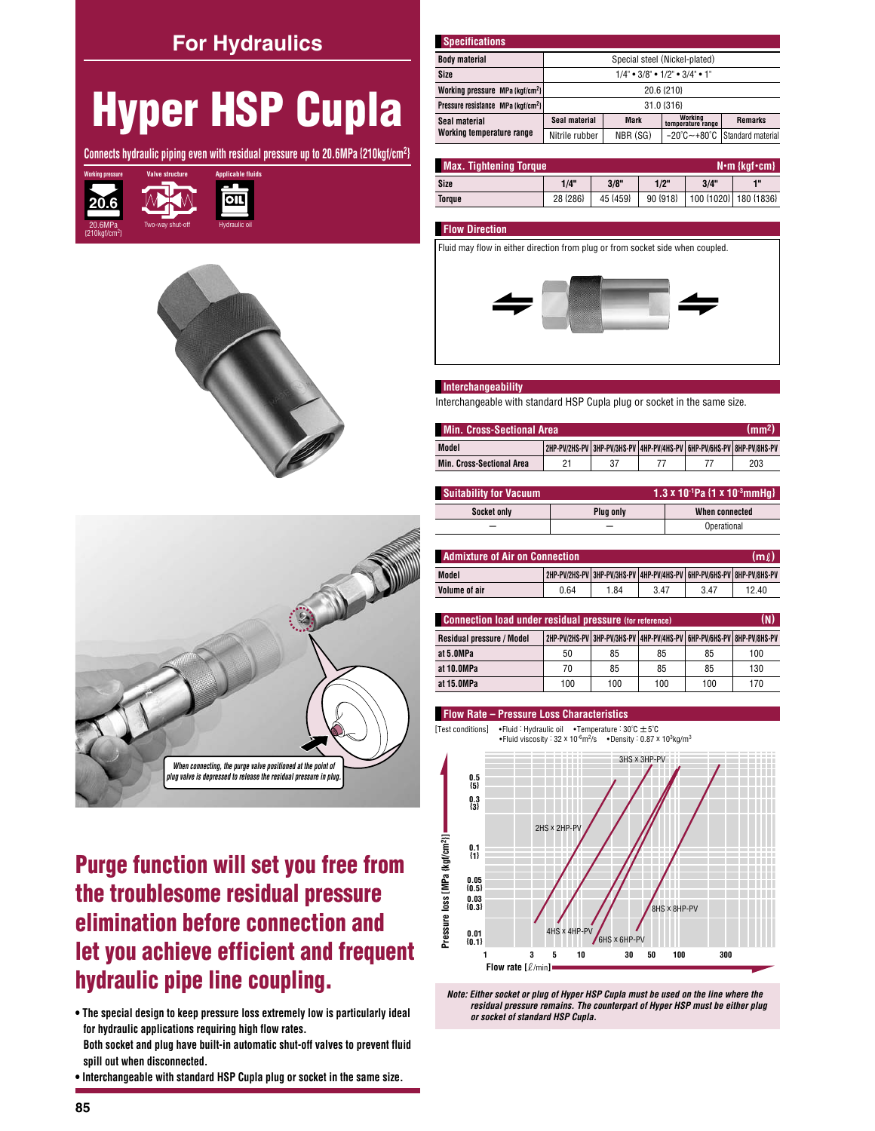### **For Hydraulics**

# **Hyper HSP Cupla**

Connects hydraulic piping even with residual pressure up to 20.6MPa {210kgf/cm<sup>2</sup>}







## **Purge function will set you free from** the troublesome residual pressure elimination before connection and let you achieve efficient and frequent hydraulic pipe line coupling.

. The special design to keep pressure loss extremely low is particularly ideal for hydraulic applications requiring high flow rates. Both socket and plug have built-in automatic shut-off valves to prevent fluid spill out when disconnected.

. Interchangeable with standard HSP Cupla plug or socket in the same size.

| <b>Specifications</b>                          |                                                                                           |             |                              |                |  |  |
|------------------------------------------------|-------------------------------------------------------------------------------------------|-------------|------------------------------|----------------|--|--|
| <b>Body material</b>                           | Special steel (Nickel-plated)                                                             |             |                              |                |  |  |
| Size                                           | $1/4$ " • $3/8$ " • $1/2$ " • $3/4$ " • $1$ "                                             |             |                              |                |  |  |
| Working pressure MPa {kgf/cm <sup>2</sup> }    | 20.6 {210}                                                                                |             |                              |                |  |  |
| Pressure resistance MPa {kqf/cm <sup>2</sup> } | 31.0 {316}                                                                                |             |                              |                |  |  |
| Seal material                                  | Seal material                                                                             | <b>Mark</b> | Working<br>temperature range | <b>Remarks</b> |  |  |
| Working temperature range                      | $-20^{\circ}$ C $\sim$ +80 $^{\circ}$ C   Standard material<br>NBR (SG)<br>Nitrile rubber |             |                              |                |  |  |

| <b>Max. Tightening Torque</b><br>$N \cdot m$ {kgf $\cdot$ cm} |          |          |            |      |                       |
|---------------------------------------------------------------|----------|----------|------------|------|-----------------------|
| Size                                                          | 1/4"     | 3/8"     | 1/2"       | 3/4" | 48                    |
| Toraue                                                        | 28 {286} | 45 {459} | $90 {918}$ |      | 100 {1020} 180 {1836} |

#### **Flow Direction**

Fluid may flow in either direction from plug or from socket side when coupled.



#### Interchangeability

Interchangeable with standard HSP Cupla plug or socket in the same size.

| Min. Cross-Sectional Area<br>(mm <sub>2</sub> ) |                                                                       |  |  |  |     |  |
|-------------------------------------------------|-----------------------------------------------------------------------|--|--|--|-----|--|
| Model                                           | 2HP-PV/2HS-PV 3HP-PV/3HS-PV 4HP-PV/4HS-PV 6HP-PV/6HS-PV 8HP-PV/8HS-PV |  |  |  |     |  |
| <b>Min. Cross-Sectional Area</b>                | ヮ                                                                     |  |  |  | 203 |  |

| <b>Suitability for Vacuum</b> | 1.3 x 10 <sup>-1</sup> Pa $\{1 \times 10^{-3}$ mmHq $\}$ |                |  |  |
|-------------------------------|----------------------------------------------------------|----------------|--|--|
| Socket only                   | Plua only                                                | When connected |  |  |
|                               |                                                          | Operational    |  |  |

| <b>Admixture of Air on Connection</b><br>(ml |      |      |                                                                               |      |       |
|----------------------------------------------|------|------|-------------------------------------------------------------------------------|------|-------|
| Model                                        |      |      | 2HP-PV/2HS-PV   3HP-PV/3HS-PV   4HP-PV/4HS-PV   6HP-PV/6HS-PV   8HP-PV/8HS-PV |      |       |
| Volume of air                                | 0.64 | 1.84 | 3.47                                                                          | 3.47 | 12.40 |

| <b>Connection load under residual pressure (for reference)</b> |                                                                       |     |     |     |     |
|----------------------------------------------------------------|-----------------------------------------------------------------------|-----|-----|-----|-----|
| <b>Residual pressure / Model</b>                               | 2HP-PV/2HS-PV 3HP-PV/3HS-PV 4HP-PV/4HS-PV 6HP-PV/6HS-PV 8HP-PV/8HS-PV |     |     |     |     |
| at 5.0MPa                                                      | 50                                                                    | 85  | 85  | 85  | 100 |
| at 10.0MPa                                                     | 70                                                                    | 85  | 85  | 85  | 130 |
| at 15.0MPa                                                     | 100                                                                   | 100 | 100 | 100 | 170 |

#### **Flow Rate - Pressure Loss Characteristics**

• Fluid : Hydraulic oil • Temperature :  $30^{\circ}$ C  $\pm 5^{\circ}$ C [Test conditions] • Fluid viscosity :  $32 \times 10^{-6} \text{m}^2/\text{s}$  • Density :  $0.87 \times 10^{3} \text{kg/m}^3$ 



Note: Either socket or plug of Hyper HSP Cupla must be used on the line where the residual pressure remains. The counterpart of Hyper HSP must be either plug or socket of standard HSP Cupla.